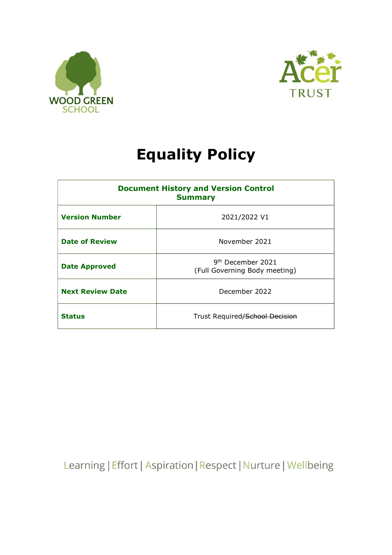



# Equality Policy

| <b>Document History and Version Control</b><br><b>Summary</b> |                                                                |
|---------------------------------------------------------------|----------------------------------------------------------------|
| <b>Version Number</b>                                         | 2021/2022 V1                                                   |
| <b>Date of Review</b>                                         | November 2021                                                  |
| <b>Date Approved</b>                                          | 9 <sup>th</sup> December 2021<br>(Full Governing Body meeting) |
| <b>Next Review Date</b>                                       | December 2022                                                  |
| <b>Status</b>                                                 | Trust Required/School Decision                                 |

Learning | Effort | Aspiration | Respect | Nurture | Wellbeing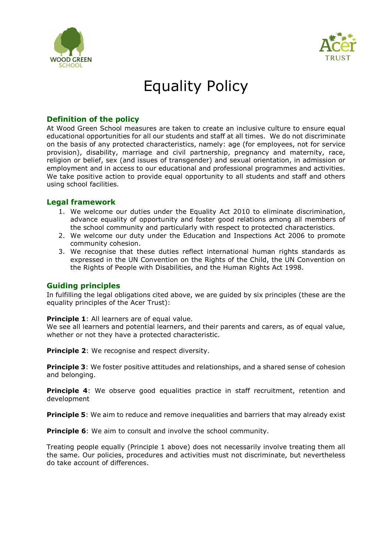



# Equality Policy

## Definition of the policy

At Wood Green School measures are taken to create an inclusive culture to ensure equal educational opportunities for all our students and staff at all times. We do not discriminate on the basis of any protected characteristics, namely: age (for employees, not for service provision), disability, marriage and civil partnership, pregnancy and maternity, race, religion or belief, sex (and issues of transgender) and sexual orientation, in admission or employment and in access to our educational and professional programmes and activities. We take positive action to provide equal opportunity to all students and staff and others using school facilities.

## Legal framework

- 1. We welcome our duties under the Equality Act 2010 to eliminate discrimination, advance equality of opportunity and foster good relations among all members of the school community and particularly with respect to protected characteristics.
- 2. We welcome our duty under the Education and Inspections Act 2006 to promote community cohesion.
- 3. We recognise that these duties reflect international human rights standards as expressed in the UN Convention on the Rights of the Child, the UN Convention on the Rights of People with Disabilities, and the Human Rights Act 1998.

## Guiding principles

In fulfilling the legal obligations cited above, we are guided by six principles (these are the equality principles of the Acer Trust):

#### Principle 1: All learners are of equal value.

We see all learners and potential learners, and their parents and carers, as of equal value, whether or not they have a protected characteristic.

**Principle 2:** We recognise and respect diversity.

**Principle 3:** We foster positive attitudes and relationships, and a shared sense of cohesion and belonging.

**Principle 4:** We observe good equalities practice in staff recruitment, retention and development

**Principle 5:** We aim to reduce and remove inequalities and barriers that may already exist

**Principle 6:** We aim to consult and involve the school community.

Treating people equally (Principle 1 above) does not necessarily involve treating them all the same. Our policies, procedures and activities must not discriminate, but nevertheless do take account of differences.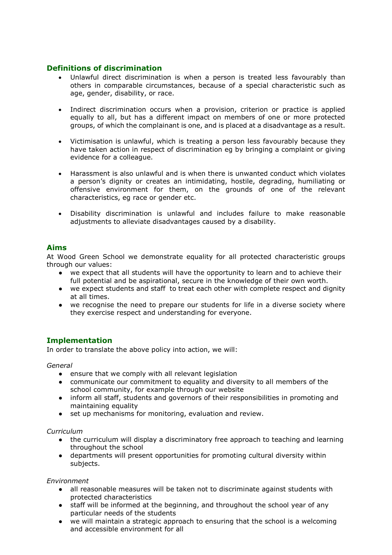# Definitions of discrimination

- Unlawful direct discrimination is when a person is treated less favourably than others in comparable circumstances, because of a special characteristic such as age, gender, disability, or race.
- Indirect discrimination occurs when a provision, criterion or practice is applied equally to all, but has a different impact on members of one or more protected groups, of which the complainant is one, and is placed at a disadvantage as a result.
- Victimisation is unlawful, which is treating a person less favourably because they have taken action in respect of discrimination eg by bringing a complaint or giving evidence for a colleague.
- Harassment is also unlawful and is when there is unwanted conduct which violates a person's dignity or creates an intimidating, hostile, degrading, humiliating or offensive environment for them, on the grounds of one of the relevant characteristics, eg race or gender etc.
- Disability discrimination is unlawful and includes failure to make reasonable adjustments to alleviate disadvantages caused by a disability.

## Aims

At Wood Green School we demonstrate equality for all protected characteristic groups through our values:

- we expect that all students will have the opportunity to learn and to achieve their full potential and be aspirational, secure in the knowledge of their own worth.
- we expect students and staff to treat each other with complete respect and dignity at all times.
- we recognise the need to prepare our students for life in a diverse society where they exercise respect and understanding for everyone.

# Implementation

In order to translate the above policy into action, we will:

General

- ensure that we comply with all relevant legislation
- communicate our commitment to equality and diversity to all members of the school community, for example through our website
- inform all staff, students and governors of their responsibilities in promoting and maintaining equality
- set up mechanisms for monitoring, evaluation and review.

#### Curriculum

- the curriculum will display a discriminatory free approach to teaching and learning throughout the school
- departments will present opportunities for promoting cultural diversity within subjects.

#### Environment

- all reasonable measures will be taken not to discriminate against students with protected characteristics
- staff will be informed at the beginning, and throughout the school year of any particular needs of the students
- we will maintain a strategic approach to ensuring that the school is a welcoming and accessible environment for all